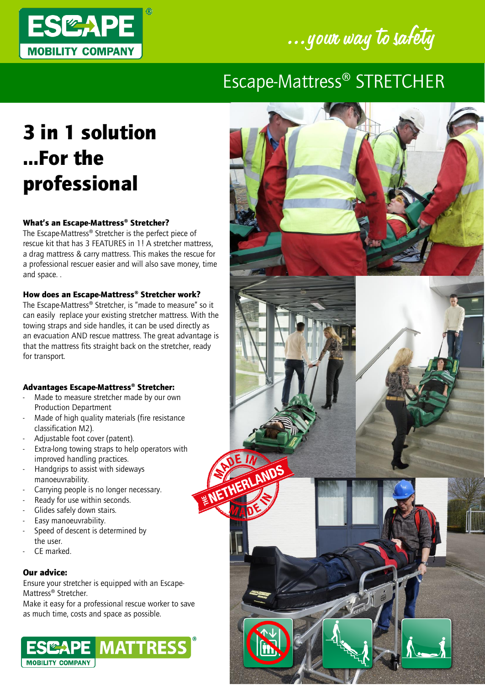



## Escape-Mattress® STRETCHER

ERLANDS

# 3 in 1 solution …For the professional

### What's an Escape-Mattress® Stretcher?

The Escape-Mattress® Stretcher is the perfect piece of rescue kit that has 3 FEATURES in 1! A stretcher mattress, a drag mattress & carry mattress. This makes the rescue for a professional rescuer easier and will also save money, time and space. .

#### How does an Escape-Mattress® Stretcher work?

The Escape-Mattress® Stretcher, is "made to measure" so it can easily replace your existing stretcher mattress. With the towing straps and side handles, it can be used directly as an evacuation AND rescue mattress. The great advantage is that the mattress fits straight back on the stretcher, ready for transport.

#### Advantages Escape-Mattress® Stretcher:

- Made to measure stretcher made by our own Production Department
- Made of high quality materials (fire resistance classification M2).
- Adjustable foot cover (patent).
- Extra-long towing straps to help operators with improved handling practices.
- Handgrips to assist with sideways manoeuvrability.
- Carrying people is no longer necessary.
- Ready for use within seconds.
- Glides safely down stairs.
- Easy manoeuvrability.
- Speed of descent is determined by the user.
- CF marked.

#### Our advice:

Ensure your stretcher is equipped with an Escape-Mattress® Stretcher.

Make it easy for a professional rescue worker to save as much time, costs and space as possible.